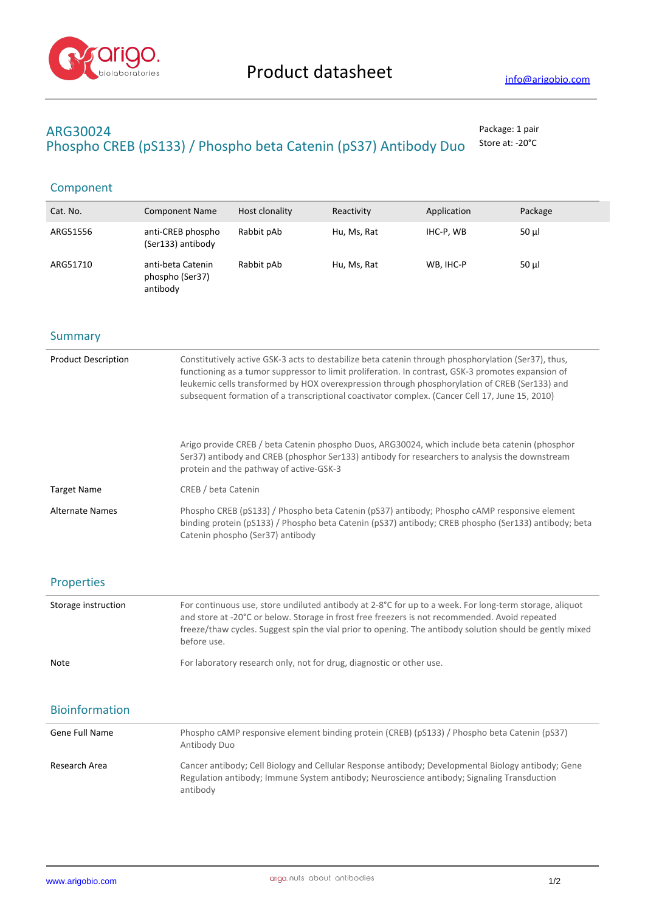

# **ARG30024** Package: 1 pair Phospho CREB (pS133) / Phospho beta Catenin (pS37) Antibody Duo Store at: -20°C

# Component

| Cat. No. | <b>Component Name</b>                            | Host clonality | Reactivity  | Application | Package  |
|----------|--------------------------------------------------|----------------|-------------|-------------|----------|
| ARG51556 | anti-CREB phospho<br>(Ser133) antibody           | Rabbit pAb     | Hu, Ms, Rat | IHC-P, WB   | $50 \mu$ |
| ARG51710 | anti-beta Catenin<br>phospho (Ser37)<br>antibody | Rabbit pAb     | Hu, Ms, Rat | WB, IHC-P   | $50 \mu$ |

### **Summary**

| <b>Product Description</b> | Constitutively active GSK-3 acts to destabilize beta catenin through phosphorylation (Ser37), thus,<br>functioning as a tumor suppressor to limit proliferation. In contrast, GSK-3 promotes expansion of<br>leukemic cells transformed by HOX overexpression through phosphorylation of CREB (Ser133) and<br>subsequent formation of a transcriptional coactivator complex. (Cancer Cell 17, June 15, 2010) |
|----------------------------|--------------------------------------------------------------------------------------------------------------------------------------------------------------------------------------------------------------------------------------------------------------------------------------------------------------------------------------------------------------------------------------------------------------|
|                            | Arigo provide CREB / beta Catenin phospho Duos, ARG30024, which include beta catenin (phosphor<br>Ser37) antibody and CREB (phosphor Ser133) antibody for researchers to analysis the downstream<br>protein and the pathway of active-GSK-3                                                                                                                                                                  |
| <b>Target Name</b>         | CREB / beta Catenin                                                                                                                                                                                                                                                                                                                                                                                          |
| Alternate Names            | Phospho CREB (pS133) / Phospho beta Catenin (pS37) antibody; Phospho cAMP responsive element<br>binding protein (pS133) / Phospho beta Catenin (pS37) antibody; CREB phospho (Ser133) antibody; beta<br>Catenin phospho (Ser37) antibody                                                                                                                                                                     |

### Properties

| Storage instruction | For continuous use, store undiluted antibody at 2-8°C for up to a week. For long-term storage, aliquot<br>and store at -20°C or below. Storage in frost free freezers is not recommended. Avoid repeated<br>freeze/thaw cycles. Suggest spin the vial prior to opening. The antibody solution should be gently mixed<br>before use. |
|---------------------|-------------------------------------------------------------------------------------------------------------------------------------------------------------------------------------------------------------------------------------------------------------------------------------------------------------------------------------|
| <b>Note</b>         | For laboratory research only, not for drug, diagnostic or other use.                                                                                                                                                                                                                                                                |

## Bioinformation

| Gene Full Name | Phospho cAMP responsive element binding protein (CREB) (pS133) / Phospho beta Catenin (pS37)<br>Antibody Duo                                                                                                 |
|----------------|--------------------------------------------------------------------------------------------------------------------------------------------------------------------------------------------------------------|
| Research Area  | Cancer antibody; Cell Biology and Cellular Response antibody; Developmental Biology antibody; Gene<br>Regulation antibody; Immune System antibody; Neuroscience antibody; Signaling Transduction<br>antibody |